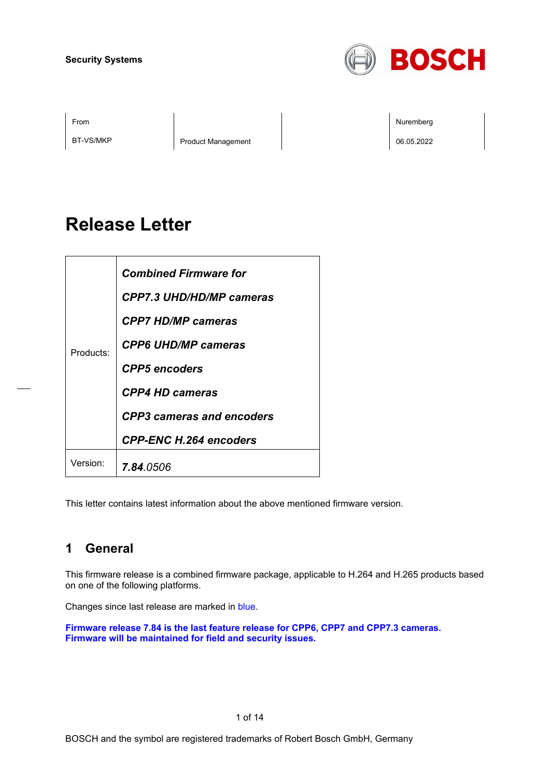

BT-VS/MKP Product Management Product Management 206.05.2022

From the second contract of the second contract of the second contract of the second contract of the second contract of the second contract of the second contract of the second contract of the second contract of the second

# **Release Letter**

| Products:            | <b>Combined Firmware for</b><br><b>CPP7.3 UHD/HD/MP cameras</b><br><b>CPP7 HD/MP cameras</b> |
|----------------------|----------------------------------------------------------------------------------------------|
|                      | <b>CPP6 UHD/MP cameras</b><br><b>CPP5</b> encoders                                           |
|                      | <b>CPP4 HD cameras</b><br><b>CPP3</b> cameras and encoders                                   |
|                      | <b>CPP-ENC H.264 encoders</b>                                                                |
| Version <sup>.</sup> | <b>7.84.</b> 0506                                                                            |

This letter contains latest information about the above mentioned firmware version.

## **1 General**

This firmware release is a combined firmware package, applicable to H.264 and H.265 products based on one of the following platforms.

Changes since last release are marked in blue.

**Firmware release 7.84 is the last feature release for CPP6, CPP7 and CPP7.3 cameras. Firmware will be maintained for field and security issues.**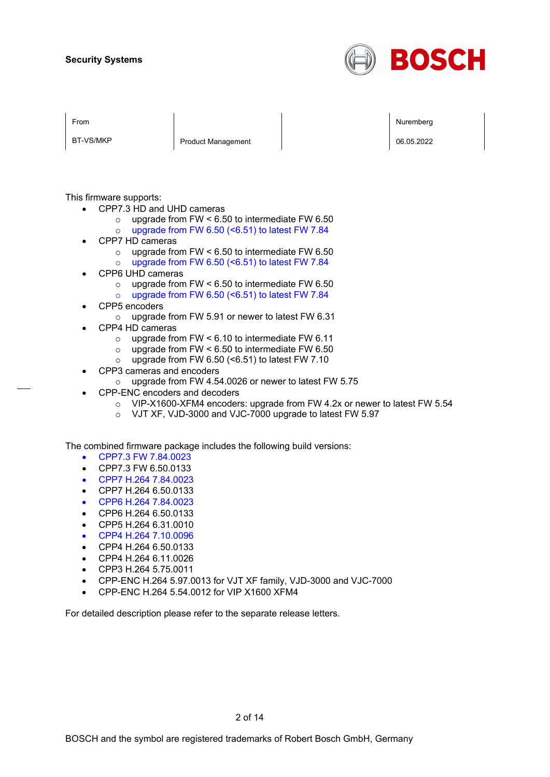

BT-VS/MKP Product Management Product Management Product Nanagement Product Nanagement Product Nanagement Product N

From the second contract of the second contract of the second contract of the second contract of the second contract of the second contract of the second contract of the second contract of the second contract of the second

This firmware supports:

- CPP7.3 HD and UHD cameras
	- $\circ$  upgrade from FW < 6.50 to intermediate FW 6.50
	- $\circ$  upgrade from FW 6.50 (<6.51) to latest FW 7.84
- CPP7 HD cameras
	- $\circ$  upgrade from FW < 6.50 to intermediate FW 6.50
	- o upgrade from FW 6.50 (<6.51) to latest FW 7.84
- CPP6 UHD cameras
	- o upgrade from FW  $< 6.50$  to intermediate FW 6.50  $\circ$  upgrade from FW 6.50 (<6.51) to latest FW 7.84
- CPP5 encoders
	- o upgrade from FW 5.91 or newer to latest FW 6.31
- CPP4 HD cameras
	- upgrade from FW < 6.10 to intermediate FW 6.11 <br>○ upgrade from FW < 6.50 to intermediate FW 6.50
	- upgrade from FW  $< 6.50$  to intermediate FW  $6.50$
	- $\circ$  upgrade from FW 6.50 (<6.51) to latest FW 7.10
- CPP3 cameras and encoders
	- o upgrade from FW 4.54.0026 or newer to latest FW 5.75
- CPP-ENC encoders and decoders
	- $\circ$  VIP-X1600-XFM4 encoders: upgrade from FW 4.2x or newer to latest FW 5.54
	- o VJT XF, VJD-3000 and VJC-7000 upgrade to latest FW 5.97

The combined firmware package includes the following build versions:

- CPP7.3 FW 7.84.0023
- CPP7.3 FW 6.50.0133
- CPP7 H.264 7.84.0023
- CPP7 H.264 6.50.0133
- CPP6 H.264 7.84.0023
- CPP6 H.264 6.50.0133
- CPP5 H.264 6.31.0010
- CPP4 H.264 7.10.0096
- CPP4 H.264 6.50.0133
- CPP4 H.264 6.11.0026
- CPP3 H.264 5.75.0011
- CPP-ENC H.264 5.97.0013 for VJT XF family, VJD-3000 and VJC-7000
- CPP-ENC H.264 5.54.0012 for VIP X1600 XFM4

For detailed description please refer to the separate release letters.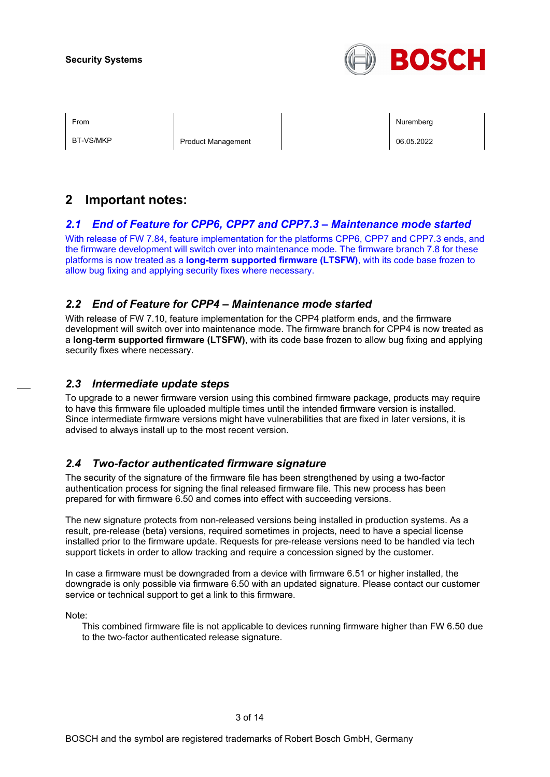

BT-VS/MKP Product Management Product Management Product Nanagement Product Nanagement Product Nanagement Product N

From the second contract of the second contract of the second contract of the second contract of the second contract of the second contract of the second contract of the second contract of the second contract of the second

## **2 Important notes:**

## *2.1 End of Feature for CPP6, CPP7 and CPP7.3 – Maintenance mode started*

With release of FW 7.84, feature implementation for the platforms CPP6, CPP7 and CPP7.3 ends, and the firmware development will switch over into maintenance mode. The firmware branch 7.8 for these platforms is now treated as a **long-term supported firmware (LTSFW)**, with its code base frozen to allow bug fixing and applying security fixes where necessary.

## *2.2 End of Feature for CPP4 – Maintenance mode started*

With release of FW 7.10, feature implementation for the CPP4 platform ends, and the firmware development will switch over into maintenance mode. The firmware branch for CPP4 is now treated as a **long-term supported firmware (LTSFW)**, with its code base frozen to allow bug fixing and applying security fixes where necessary.

### *2.3 Intermediate update steps*

To upgrade to a newer firmware version using this combined firmware package, products may require to have this firmware file uploaded multiple times until the intended firmware version is installed. Since intermediate firmware versions might have vulnerabilities that are fixed in later versions, it is advised to always install up to the most recent version.

## *2.4 Two-factor authenticated firmware signature*

The security of the signature of the firmware file has been strengthened by using a two-factor authentication process for signing the final released firmware file. This new process has been prepared for with firmware 6.50 and comes into effect with succeeding versions.

The new signature protects from non-released versions being installed in production systems. As a result, pre-release (beta) versions, required sometimes in projects, need to have a special license installed prior to the firmware update. Requests for pre-release versions need to be handled via tech support tickets in order to allow tracking and require a concession signed by the customer.

In case a firmware must be downgraded from a device with firmware 6.51 or higher installed, the downgrade is only possible via firmware 6.50 with an updated signature. Please contact our customer service or technical support to get a link to this firmware.

Note:

This combined firmware file is not applicable to devices running firmware higher than FW 6.50 due to the two-factor authenticated release signature.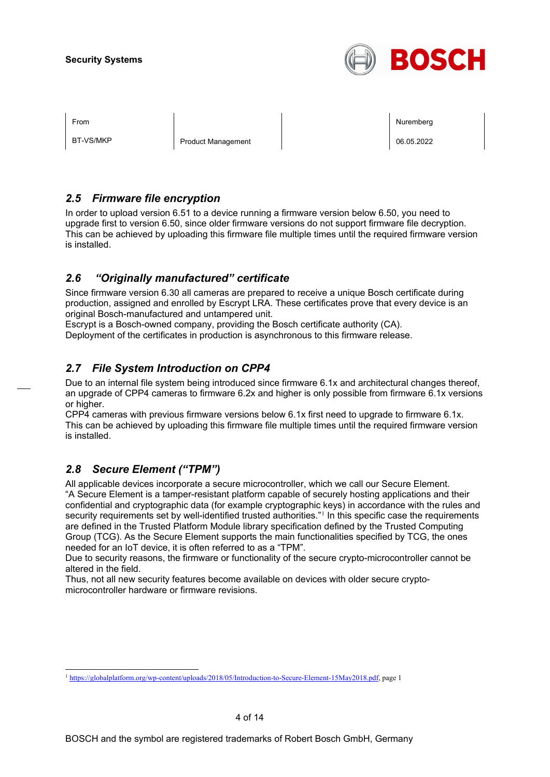

BT-VS/MKP Product Management Product Management Product Nanagement Product Nanagement Product Nanagement Product N

From the second contract of the second contract of the second contract of the second contract of the second contract of the second contract of the second contract of the second contract of the second contract of the second

## *2.5 Firmware file encryption*

In order to upload version 6.51 to a device running a firmware version below 6.50, you need to upgrade first to version 6.50, since older firmware versions do not support firmware file decryption. This can be achieved by uploading this firmware file multiple times until the required firmware version is installed.

## *2.6 "Originally manufactured" certificate*

Since firmware version 6.30 all cameras are prepared to receive a unique Bosch certificate during production, assigned and enrolled by Escrypt LRA. These certificates prove that every device is an original Bosch-manufactured and untampered unit.

Escrypt is a Bosch-owned company, providing the Bosch certificate authority (CA).

Deployment of the certificates in production is asynchronous to this firmware release.

## *2.7 File System Introduction on CPP4*

Due to an internal file system being introduced since firmware 6.1x and architectural changes thereof, an upgrade of CPP4 cameras to firmware 6.2x and higher is only possible from firmware 6.1x versions or higher.

CPP4 cameras with previous firmware versions below 6.1x first need to upgrade to firmware 6.1x. This can be achieved by uploading this firmware file multiple times until the required firmware version is installed.

## *2.8 Secure Element ("TPM")*

All applicable devices incorporate a secure microcontroller, which we call our Secure Element. "A Secure Element is a tamper-resistant platform capable of securely hosting applications and their confidential and cryptographic data (for example cryptographic keys) in accordance with the rules and security requirements set by well-identified trusted authorities."<sup>[1](#page-3-0)</sup> In this specific case the requirements are defined in the Trusted Platform Module library specification defined by the Trusted Computing Group (TCG). As the Secure Element supports the main functionalities specified by TCG, the ones needed for an IoT device, it is often referred to as a "TPM".

Due to security reasons, the firmware or functionality of the secure crypto-microcontroller cannot be altered in the field.

Thus, not all new security features become available on devices with older secure cryptomicrocontroller hardware or firmware revisions.

<span id="page-3-0"></span><sup>1</sup> [https://globalplatform.org/wp-content/uploads/2018/05/Introduction-to-Secure-Element-15May2018.pdf,](https://globalplatform.org/wp-content/uploads/2018/05/Introduction-to-Secure-Element-15May2018.pdf) page 1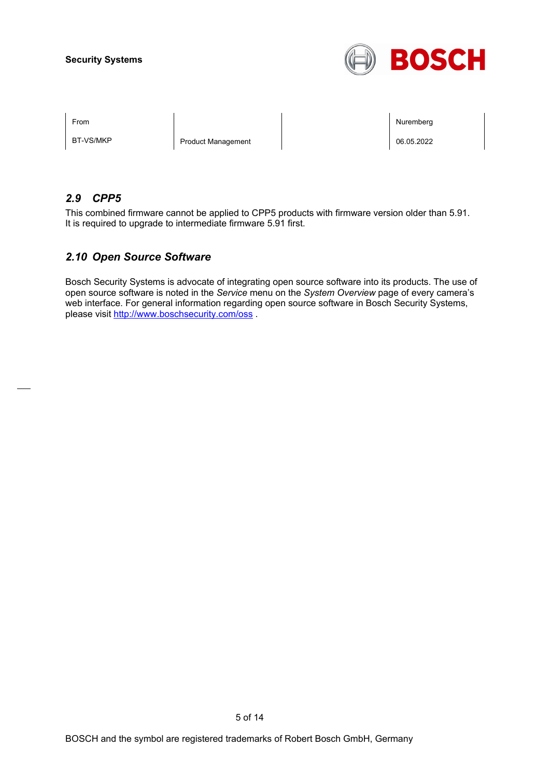

BT-VS/MKP Product Management Product Management 206.05.2022

From the second contract of the second contract of the second contract of the second contract of the second contract of the second contract of the second contract of the second contract of the second contract of the second

## *2.9 CPP5*

This combined firmware cannot be applied to CPP5 products with firmware version older than 5.91. It is required to upgrade to intermediate firmware 5.91 first.

## *2.10 Open Source Software*

Bosch Security Systems is advocate of integrating open source software into its products. The use of open source software is noted in the *Service* menu on the *System Overview* page of every camera's web interface. For general information regarding open source software in Bosch Security Systems, please visit<http://www.boschsecurity.com/oss> .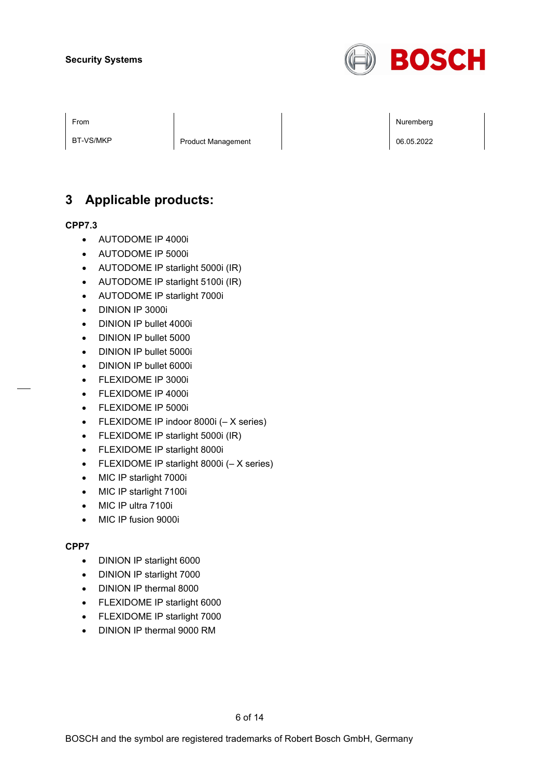

BT-VS/MKP Product Management Product Management 206.05.2022

## **3 Applicable products:**

#### **CPP7.3**

- AUTODOME IP 4000i
- AUTODOME IP 5000i
- AUTODOME IP starlight 5000i (IR)
- AUTODOME IP starlight 5100i (IR)
- AUTODOME IP starlight 7000i
- DINION IP 3000i
- DINION IP bullet 4000i
- DINION IP bullet 5000
- DINION IP bullet 5000i
- DINION IP bullet 6000i
- FLEXIDOME IP 3000i
- FLEXIDOME IP 4000i
- FLEXIDOME IP 5000i
- FLEXIDOME IP indoor 8000i (– X series)
- FLEXIDOME IP starlight 5000i (IR)
- FLEXIDOME IP starlight 8000i
- FLEXIDOME IP starlight 8000i (– X series)
- MIC IP starlight 7000i
- MIC IP starlight 7100i
- MIC IP ultra 7100i
- MIC IP fusion 9000i

### **CPP7**

- DINION IP starlight 6000
- DINION IP starlight 7000
- DINION IP thermal 8000
- FLEXIDOME IP starlight 6000
- FLEXIDOME IP starlight 7000
- DINION IP thermal 9000 RM

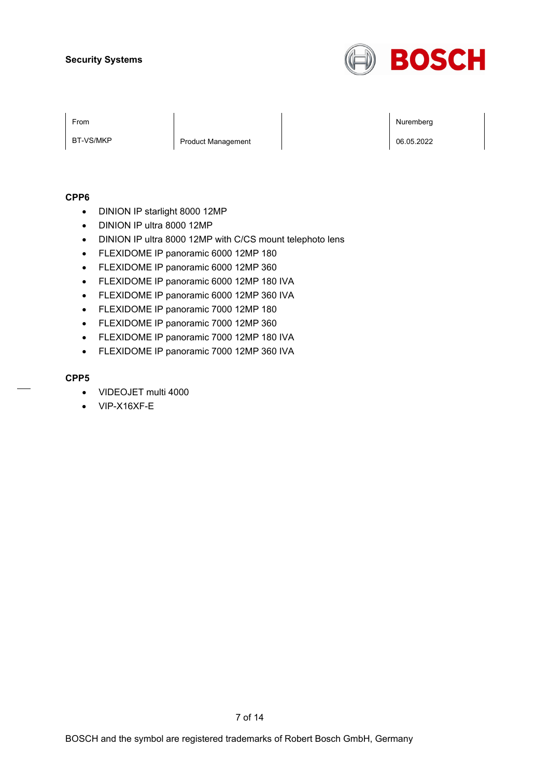

BT-VS/MKP Product Management Product Management 206.05.2022

From the second contract of the second contract of the second contract of the second contract of the second contract of the second contract of the second contract of the second contract of the second contract of the second

#### **CPP6**

- DINION IP starlight 8000 12MP
- DINION IP ultra 8000 12MP
- DINION IP ultra 8000 12MP with C/CS mount telephoto lens
- FLEXIDOME IP panoramic 6000 12MP 180
- FLEXIDOME IP panoramic 6000 12MP 360
- FLEXIDOME IP panoramic 6000 12MP 180 IVA
- FLEXIDOME IP panoramic 6000 12MP 360 IVA
- FLEXIDOME IP panoramic 7000 12MP 180
- FLEXIDOME IP panoramic 7000 12MP 360
- FLEXIDOME IP panoramic 7000 12MP 180 IVA
- FLEXIDOME IP panoramic 7000 12MP 360 IVA

#### **CPP5**

- VIDEOJET multi 4000
- VIP-X16XF-E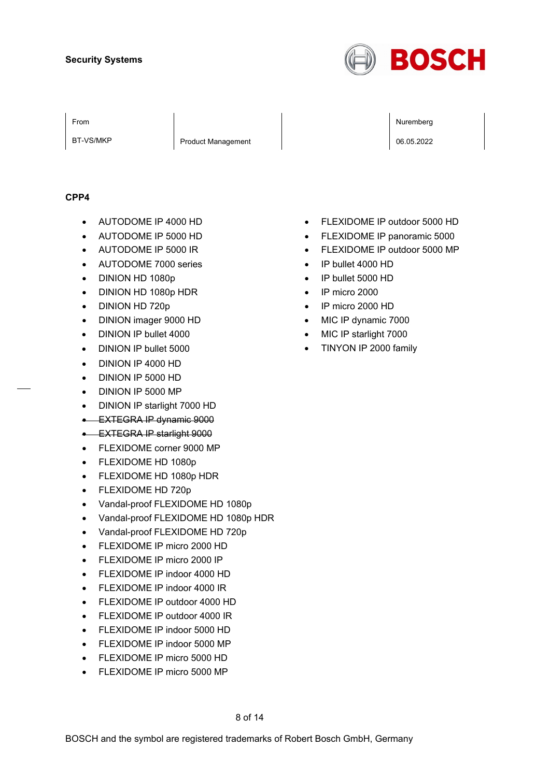

BT-VS/MKP Product Management 2008.05.2022

From the second contract of the second contract of the second contract of the second contract of the second contract of the second contract of the second contract of the second contract of the second contract of the second

#### **CPP4**

- AUTODOME IP 4000 HD
- AUTODOME IP 5000 HD
- AUTODOME IP 5000 IR
- AUTODOME 7000 series
- DINION HD 1080p
- DINION HD 1080p HDR
- DINION HD 720p
- DINION imager 9000 HD
- DINION IP bullet 4000
- DINION IP bullet 5000
- DINION IP 4000 HD
- DINION IP 5000 HD
- DINION IP 5000 MP
- DINION IP starlight 7000 HD
- EXTEGRA IP dynamic 9000
- EXTEGRA IP starlight 9000
- FLEXIDOME corner 9000 MP
- FLEXIDOME HD 1080p
- FLEXIDOME HD 1080p HDR
- FLEXIDOME HD 720p
- Vandal-proof FLEXIDOME HD 1080p
- Vandal-proof FLEXIDOME HD 1080p HDR
- Vandal-proof FLEXIDOME HD 720p
- FLEXIDOME IP micro 2000 HD
- FLEXIDOME IP micro 2000 IP
- FLEXIDOME IP indoor 4000 HD
- FLEXIDOME IP indoor 4000 IR
- FLEXIDOME IP outdoor 4000 HD
- FLEXIDOME IP outdoor 4000 IR
- FLEXIDOME IP indoor 5000 HD
- FLEXIDOME IP indoor 5000 MP
- FLEXIDOME IP micro 5000 HD
- FLEXIDOME IP micro 5000 MP
- FLEXIDOME IP outdoor 5000 HD
- FLEXIDOME IP panoramic 5000
- FLEXIDOME IP outdoor 5000 MP
- IP bullet 4000 HD
- IP bullet 5000 HD
- IP micro 2000
- IP micro 2000 HD
- MIC IP dynamic 7000
- MIC IP starlight 7000
- TINYON IP 2000 family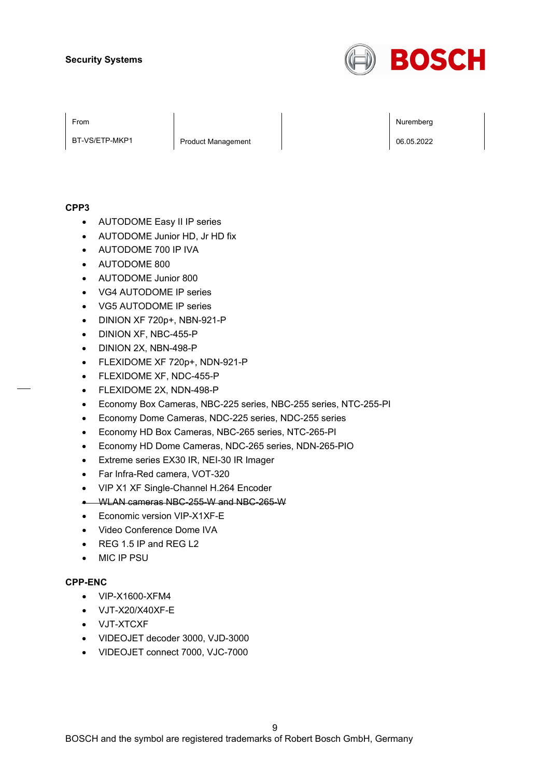

BT-VS/ETP-MKP1 | Product Management | 206.05.2022

From the second contract of the second contract of the second contract of the second contract of the second contract of the second contract of the second contract of the second contract of the second contract of the second

#### **CPP3**

- AUTODOME Easy II IP series
- AUTODOME Junior HD, Jr HD fix
- AUTODOME 700 IP IVA
- AUTODOME 800
- AUTODOME Junior 800
- VG4 AUTODOME IP series
- VG5 AUTODOME IP series
- DINION XF 720p+, NBN-921-P
- DINION XF, NBC-455-P
- DINION 2X, NBN-498-P
- FLEXIDOME XF 720p+, NDN-921-P
- FLEXIDOME XF, NDC-455-P
- FLEXIDOME 2X, NDN-498-P
- Economy Box Cameras, NBC-225 series, NBC-255 series, NTC-255-PI
- Economy Dome Cameras, NDC-225 series, NDC-255 series
- Economy HD Box Cameras, NBC-265 series, NTC-265-PI
- Economy HD Dome Cameras, NDC-265 series, NDN-265-PIO
- Extreme series EX30 IR, NEI-30 IR Imager
- Far Infra-Red camera, VOT-320
- VIP X1 XF Single-Channel H.264 Encoder
- WLAN cameras NBC-255-W and NBC-265-W
- Economic version VIP-X1XF-E
- Video Conference Dome IVA
- REG 1.5 IP and REG L2
- MIC IP PSU

### **CPP-ENC**

- VIP-X1600-XFM4
- VJT-X20/X40XF-E
- VJT-XTCXF
- VIDEOJET decoder 3000, VJD-3000
- VIDEOJET connect 7000, VJC-7000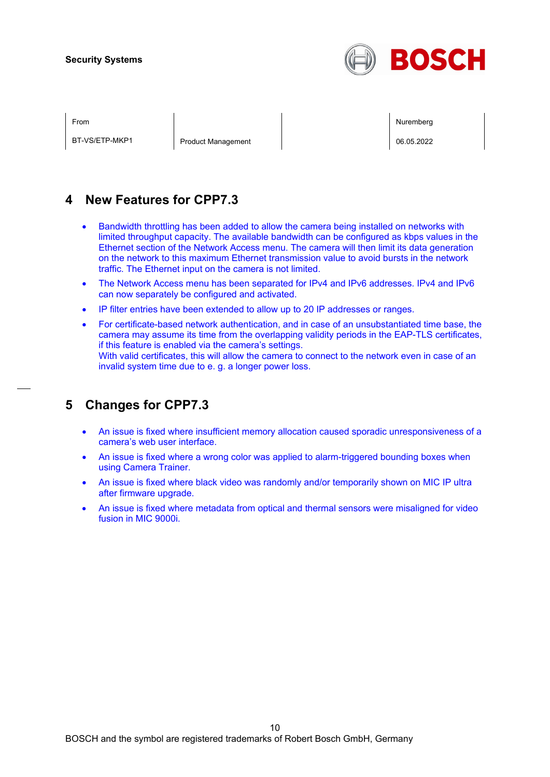

BT-VS/ETP-MKP1 | Product Management | 20.05.2022

From the second contract of the second contract of the second contract of the second contract of the second contract of the second contract of the second contract of the second contract of the second contract of the second

## **4 New Features for CPP7.3**

- Bandwidth throttling has been added to allow the camera being installed on networks with limited throughput capacity. The available bandwidth can be configured as kbps values in the Ethernet section of the Network Access menu. The camera will then limit its data generation on the network to this maximum Ethernet transmission value to avoid bursts in the network traffic. The Ethernet input on the camera is not limited.
- The Network Access menu has been separated for IPv4 and IPv6 addresses. IPv4 and IPv6 can now separately be configured and activated.
- IP filter entries have been extended to allow up to 20 IP addresses or ranges.
- For certificate-based network authentication, and in case of an unsubstantiated time base, the camera may assume its time from the overlapping validity periods in the EAP-TLS certificates, if this feature is enabled via the camera's settings. With valid certificates, this will allow the camera to connect to the network even in case of an invalid system time due to e. g. a longer power loss.

## **5 Changes for CPP7.3**

- An issue is fixed where insufficient memory allocation caused sporadic unresponsiveness of a camera's web user interface.
- An issue is fixed where a wrong color was applied to alarm-triggered bounding boxes when using Camera Trainer.
- An issue is fixed where black video was randomly and/or temporarily shown on MIC IP ultra after firmware upgrade.
- An issue is fixed where metadata from optical and thermal sensors were misaligned for video fusion in MIC 9000i.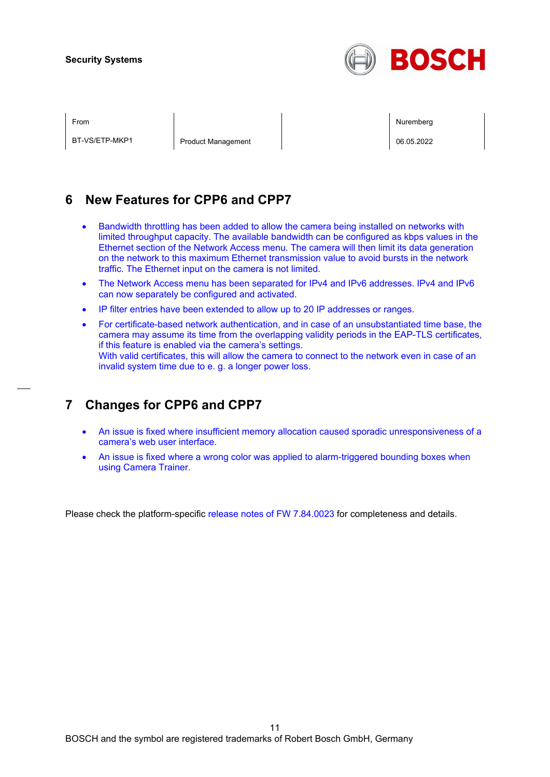

BT-VS/ETP-MKP1 | Product Management | 20.05.2022

From the second contract of the second contract of the second contract of the second contract of the second contract of the second contract of the second contract of the second contract of the second contract of the second

## **6 New Features for CPP6 and CPP7**

- Bandwidth throttling has been added to allow the camera being installed on networks with limited throughput capacity. The available bandwidth can be configured as kbps values in the Ethernet section of the Network Access menu. The camera will then limit its data generation on the network to this maximum Ethernet transmission value to avoid bursts in the network traffic. The Ethernet input on the camera is not limited.
- The Network Access menu has been separated for IPv4 and IPv6 addresses. IPv4 and IPv6 can now separately be configured and activated.
- IP filter entries have been extended to allow up to 20 IP addresses or ranges.
- For certificate-based network authentication, and in case of an unsubstantiated time base, the camera may assume its time from the overlapping validity periods in the EAP-TLS certificates, if this feature is enabled via the camera's settings. With valid certificates, this will allow the camera to connect to the network even in case of an invalid system time due to e. g. a longer power loss.

## **7 Changes for CPP6 and CPP7**

- An issue is fixed where insufficient memory allocation caused sporadic unresponsiveness of a camera's web user interface.
- An issue is fixed where a wrong color was applied to alarm-triggered bounding boxes when using Camera Trainer.

Please check the platform-specific release notes of FW 7.84.0023 for completeness and details.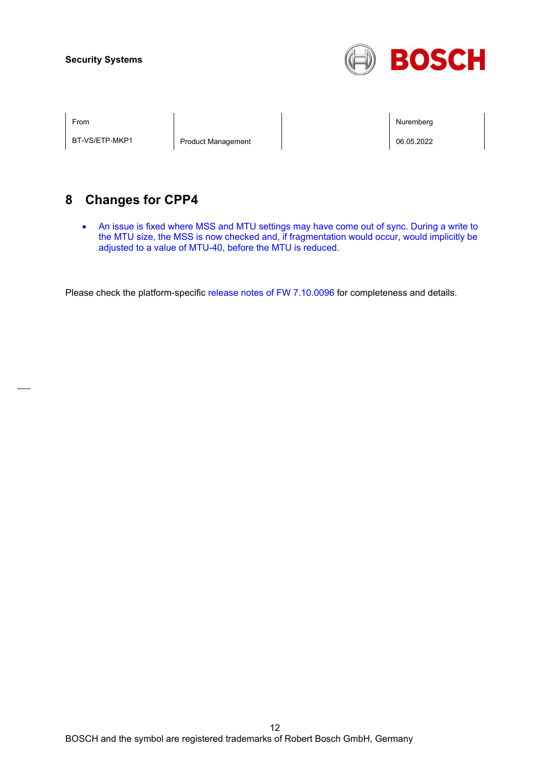

BT-VS/ETP-MKP1 | Product Management | December 196.05.2022

From the second contract of the second contract of the second contract of the second contract of the second contract of the second contract of the second contract of the second contract of the second contract of the second

## **8 Changes for CPP4**

• An issue is fixed where MSS and MTU settings may have come out of sync. During a write to the MTU size, the MSS is now checked and, if fragmentation would occur, would implicitly be adjusted to a value of MTU-40, before the MTU is reduced.

Please check the platform-specific release notes of FW 7.10.0096 for completeness and details.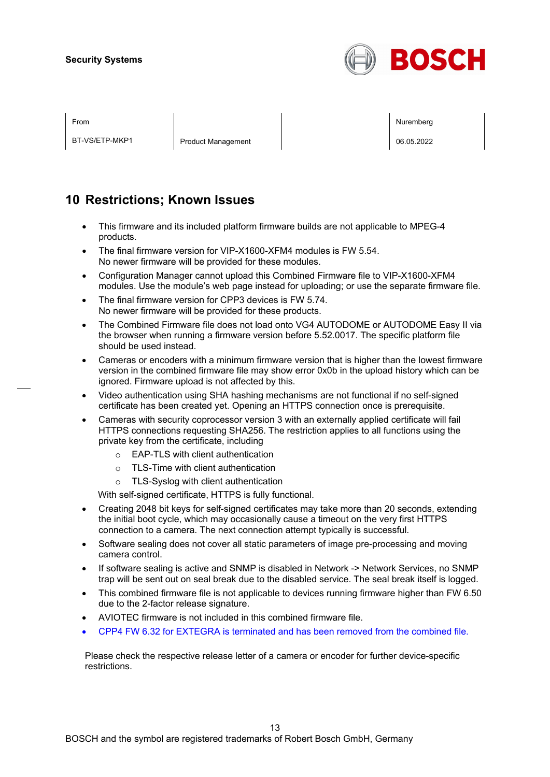

BT-VS/ETP-MKP1 | Product Management | 20.05.2022

From the second contract of the second contract of the second contract of the second contract of the second contract of the second contract of the second contract of the second contract of the second contract of the second

## **10 Restrictions; Known Issues**

- This firmware and its included platform firmware builds are not applicable to MPEG-4 products.
- The final firmware version for VIP-X1600-XFM4 modules is FW 5.54. No newer firmware will be provided for these modules.
- Configuration Manager cannot upload this Combined Firmware file to VIP-X1600-XFM4 modules. Use the module's web page instead for uploading; or use the separate firmware file.
- The final firmware version for CPP3 devices is FW 5.74. No newer firmware will be provided for these products.
- The Combined Firmware file does not load onto VG4 AUTODOME or AUTODOME Easy II via the browser when running a firmware version before 5.52.0017. The specific platform file should be used instead.
- Cameras or encoders with a minimum firmware version that is higher than the lowest firmware version in the combined firmware file may show error 0x0b in the upload history which can be ignored. Firmware upload is not affected by this.
- Video authentication using SHA hashing mechanisms are not functional if no self-signed certificate has been created yet. Opening an HTTPS connection once is prerequisite.
- Cameras with security coprocessor version 3 with an externally applied certificate will fail HTTPS connections requesting SHA256. The restriction applies to all functions using the private key from the certificate, including
	- o EAP-TLS with client authentication
	- o TLS-Time with client authentication
	- o TLS-Syslog with client authentication

With self-signed certificate, HTTPS is fully functional.

- Creating 2048 bit keys for self-signed certificates may take more than 20 seconds, extending the initial boot cycle, which may occasionally cause a timeout on the very first HTTPS connection to a camera. The next connection attempt typically is successful.
- Software sealing does not cover all static parameters of image pre-processing and moving camera control.
- If software sealing is active and SNMP is disabled in Network -> Network Services, no SNMP trap will be sent out on seal break due to the disabled service. The seal break itself is logged.
- This combined firmware file is not applicable to devices running firmware higher than FW 6.50 due to the 2-factor release signature.
- AVIOTEC firmware is not included in this combined firmware file.
- CPP4 FW 6.32 for EXTEGRA is terminated and has been removed from the combined file.

Please check the respective release letter of a camera or encoder for further device-specific restrictions.